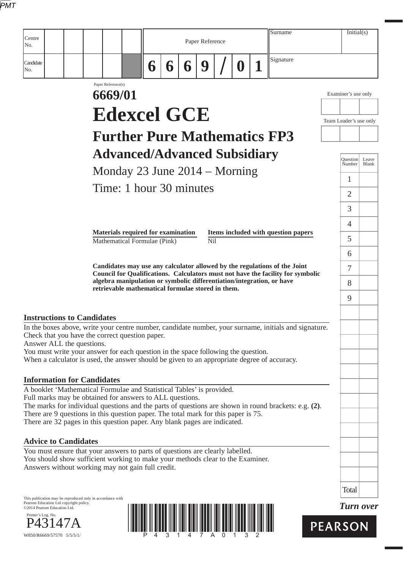| Centre                                                                                                                                                                                                                                                                  |                               |                                                                       |   |   | Paper Reference |                  | Surname                                                                         | Initial(s)             |                |
|-------------------------------------------------------------------------------------------------------------------------------------------------------------------------------------------------------------------------------------------------------------------------|-------------------------------|-----------------------------------------------------------------------|---|---|-----------------|------------------|---------------------------------------------------------------------------------|------------------------|----------------|
| No.                                                                                                                                                                                                                                                                     |                               |                                                                       |   |   |                 |                  |                                                                                 |                        |                |
| Candidate<br>No.                                                                                                                                                                                                                                                        |                               | 6                                                                     | 6 | 6 | 9               | $\boldsymbol{0}$ | Signature                                                                       |                        |                |
|                                                                                                                                                                                                                                                                         | Paper Reference(s)<br>6669/01 |                                                                       |   |   |                 |                  |                                                                                 | Examiner's use only    |                |
|                                                                                                                                                                                                                                                                         |                               | <b>Edexcel GCE</b>                                                    |   |   |                 |                  |                                                                                 |                        |                |
|                                                                                                                                                                                                                                                                         |                               | <b>Further Pure Mathematics FP3</b>                                   |   |   |                 |                  |                                                                                 | Team Leader's use only |                |
|                                                                                                                                                                                                                                                                         |                               |                                                                       |   |   |                 |                  |                                                                                 |                        |                |
|                                                                                                                                                                                                                                                                         |                               | <b>Advanced/Advanced Subsidiary</b>                                   |   |   |                 |                  |                                                                                 | Ouestion<br>Number     | Leave<br>Blank |
|                                                                                                                                                                                                                                                                         |                               | Monday 23 June $2014 -$ Morning                                       |   |   |                 |                  |                                                                                 | 1                      |                |
|                                                                                                                                                                                                                                                                         |                               | Time: 1 hour 30 minutes                                               |   |   |                 |                  |                                                                                 | $\overline{2}$         |                |
|                                                                                                                                                                                                                                                                         |                               |                                                                       |   |   |                 |                  |                                                                                 | 3                      |                |
|                                                                                                                                                                                                                                                                         |                               | Materials required for examination                                    |   |   |                 |                  | Items included with question papers                                             | $\overline{4}$         |                |
|                                                                                                                                                                                                                                                                         |                               | Mathematical Formulae (Pink)                                          |   |   | N <sub>il</sub> |                  |                                                                                 | 5                      |                |
|                                                                                                                                                                                                                                                                         |                               |                                                                       |   |   |                 |                  | Candidates may use any calculator allowed by the regulations of the Joint       | 6                      |                |
|                                                                                                                                                                                                                                                                         |                               | algebra manipulation or symbolic differentiation/integration, or have |   |   |                 |                  | Council for Qualifications. Calculators must not have the facility for symbolic | $\tau$                 |                |
|                                                                                                                                                                                                                                                                         |                               | retrievable mathematical formulae stored in them.                     |   |   |                 |                  |                                                                                 | 8<br>9                 |                |
|                                                                                                                                                                                                                                                                         |                               |                                                                       |   |   |                 |                  |                                                                                 |                        |                |
| <b>Instructions to Candidates</b><br>In the boxes above, write your centre number, candidate number, your surname, initials and signature.<br>Check that you have the correct question paper.                                                                           |                               |                                                                       |   |   |                 |                  |                                                                                 |                        |                |
| Answer ALL the questions.<br>You must write your answer for each question in the space following the question.<br>When a calculator is used, the answer should be given to an appropriate degree of accuracy.                                                           |                               |                                                                       |   |   |                 |                  |                                                                                 |                        |                |
| <b>Information for Candidates</b>                                                                                                                                                                                                                                       |                               |                                                                       |   |   |                 |                  |                                                                                 |                        |                |
| A booklet 'Mathematical Formulae and Statistical Tables' is provided.<br>Full marks may be obtained for answers to ALL questions.                                                                                                                                       |                               |                                                                       |   |   |                 |                  |                                                                                 |                        |                |
| The marks for individual questions and the parts of questions are shown in round brackets: e.g. (2).<br>There are 9 questions in this question paper. The total mark for this paper is 75.<br>There are 32 pages in this question paper. Any blank pages are indicated. |                               |                                                                       |   |   |                 |                  |                                                                                 |                        |                |
| <b>Advice to Candidates</b>                                                                                                                                                                                                                                             |                               |                                                                       |   |   |                 |                  |                                                                                 |                        |                |
| You must ensure that your answers to parts of questions are clearly labelled.<br>You should show sufficient working to make your methods clear to the Examiner.<br>Answers without working may not gain full credit.                                                    |                               |                                                                       |   |   |                 |                  |                                                                                 |                        |                |
|                                                                                                                                                                                                                                                                         |                               |                                                                       |   |   |                 |                  |                                                                                 | <b>Total</b>           |                |
| This publication may be reproduced only in accordance with<br>Pearson Education Ltd copyright policy.<br>©2014 Pearson Education Ltd.<br>Printer's Log. No.                                                                                                             |                               |                                                                       |   |   |                 |                  |                                                                                 | <b>Turn over</b>       |                |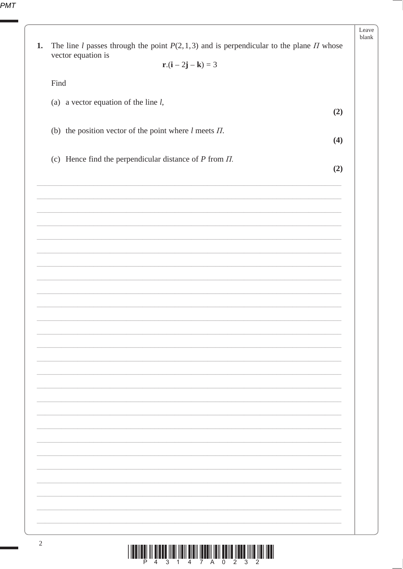| 1.   | The line <i>l</i> passes through the point $P(2,1,3)$ and is perpendicular to the plane <i>II</i> whose<br>vector equation is |
|------|-------------------------------------------------------------------------------------------------------------------------------|
|      | $r.(i-2j-k) = 3$                                                                                                              |
| Find |                                                                                                                               |
|      | (a) a vector equation of the line $l$ ,                                                                                       |
|      | (2)                                                                                                                           |
|      | (b) the position vector of the point where $l$ meets $\Pi$ .                                                                  |
|      | (4)                                                                                                                           |
|      | (c) Hence find the perpendicular distance of $P$ from $\Pi$ .<br>(2)                                                          |
|      |                                                                                                                               |
|      |                                                                                                                               |
|      |                                                                                                                               |
|      |                                                                                                                               |
|      |                                                                                                                               |
|      |                                                                                                                               |
|      |                                                                                                                               |
|      |                                                                                                                               |
|      |                                                                                                                               |
|      |                                                                                                                               |
|      |                                                                                                                               |
|      |                                                                                                                               |
|      |                                                                                                                               |
|      |                                                                                                                               |
|      |                                                                                                                               |
|      |                                                                                                                               |
|      |                                                                                                                               |
|      |                                                                                                                               |
|      |                                                                                                                               |
|      |                                                                                                                               |
|      |                                                                                                                               |
|      |                                                                                                                               |
|      |                                                                                                                               |

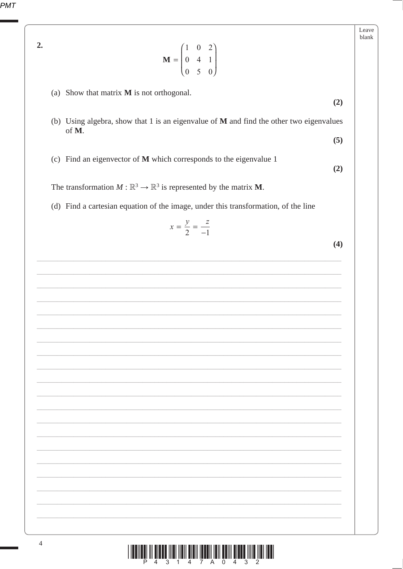Leave blank  $2.$  $\mathbf{M} = \begin{pmatrix} 1 & 0 & 2 \\ 0 & 4 & 1 \\ 0 & 5 & 0 \end{pmatrix}$ (a) Show that matrix  $M$  is not orthogonal.  $(2)$ (b) Using algebra, show that 1 is an eigenvalue of  $M$  and find the other two eigenvalues of M.  $(5)$ (c) Find an eigenvector of M which corresponds to the eigenvalue 1  $(2)$ The transformation  $M : \mathbb{R}^3 \to \mathbb{R}^3$  is represented by the matrix **M**. (d) Find a cartesian equation of the image, under this transformation, of the line  $x = \frac{y}{2} = \frac{z}{-1}$  $(4)$ 

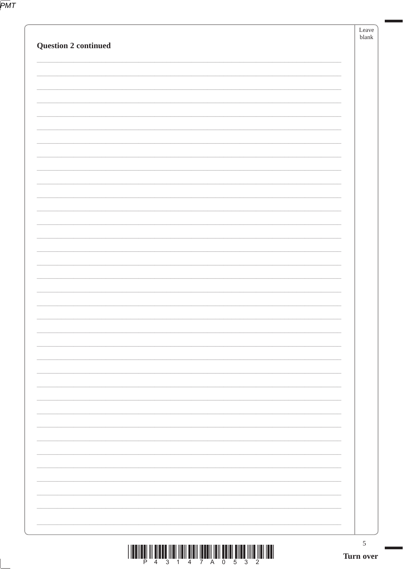|                             | $\sqrt{5}$<br>Turn over |
|-----------------------------|-------------------------|
|                             |                         |
|                             |                         |
|                             |                         |
|                             |                         |
|                             |                         |
|                             |                         |
|                             |                         |
|                             |                         |
|                             |                         |
|                             |                         |
|                             |                         |
|                             |                         |
|                             |                         |
| <b>Question 2 continued</b> | Leave<br>blank          |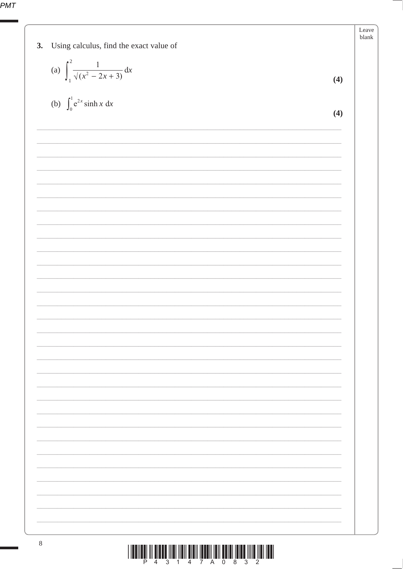| Using calculus, find the exact value of<br>3.       | Leave<br>blank |
|-----------------------------------------------------|----------------|
|                                                     |                |
| (a) $\int_{1}^{2} \frac{1}{\sqrt{x^2 - 2x + 3}} dx$ | (4)            |
| (b) $\int_0^1 e^{2x} \sinh x \, dx$                 | (4)            |
|                                                     |                |
|                                                     |                |
|                                                     |                |
|                                                     |                |
|                                                     |                |
|                                                     |                |
|                                                     |                |
|                                                     |                |
|                                                     |                |
|                                                     |                |
|                                                     |                |
|                                                     |                |
|                                                     |                |
|                                                     |                |
|                                                     |                |
|                                                     |                |
|                                                     |                |
|                                                     |                |
|                                                     |                |
|                                                     |                |
|                                                     |                |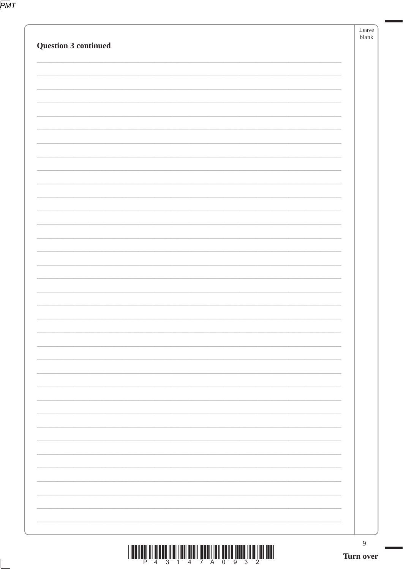|                             | $\boldsymbol{9}$       |
|-----------------------------|------------------------|
|                             |                        |
|                             |                        |
|                             |                        |
|                             |                        |
|                             |                        |
|                             |                        |
|                             |                        |
|                             |                        |
|                             |                        |
|                             |                        |
|                             |                        |
|                             |                        |
| <b>Question 3 continued</b> | Leave<br>${\sf blank}$ |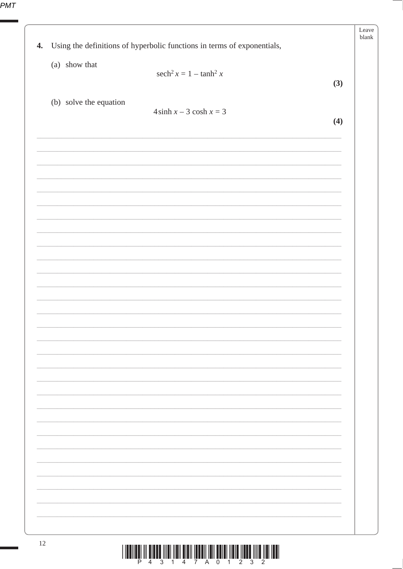| $\boldsymbol{4}$ . | Using the definitions of hyperbolic functions in terms of exponentials, | Leave<br>blank |
|--------------------|-------------------------------------------------------------------------|----------------|
|                    | (a) show that<br>$sech2 x = 1 - tanh2 x$<br>(3)                         |                |
|                    | (b) solve the equation<br>$4\sinh x - 3\cosh x = 3$                     |                |
|                    | (4)                                                                     |                |
|                    |                                                                         |                |
|                    |                                                                         |                |
|                    |                                                                         |                |
|                    |                                                                         |                |
|                    |                                                                         |                |
|                    |                                                                         |                |
|                    |                                                                         |                |
|                    |                                                                         |                |
|                    |                                                                         |                |
|                    |                                                                         |                |
|                    |                                                                         |                |
|                    |                                                                         |                |
|                    |                                                                         |                |
|                    |                                                                         |                |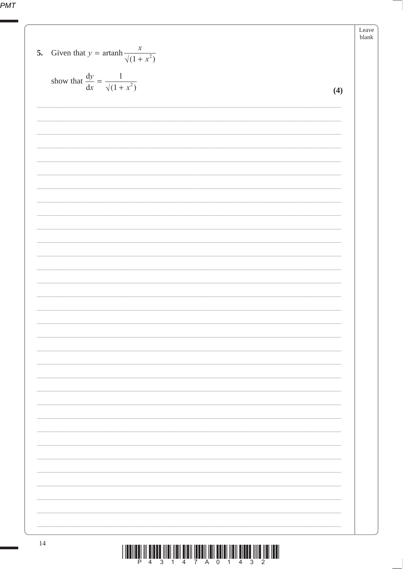| Given that $y = \operatorname{artanh} \frac{x}{\sqrt{1 + x^2}}$<br>5. |     | Leave<br>blank |
|-----------------------------------------------------------------------|-----|----------------|
| show that $\frac{dy}{dx} = \frac{1}{\sqrt{1 + x^2}}$                  | (4) |                |
|                                                                       |     |                |
|                                                                       |     |                |
|                                                                       |     |                |
|                                                                       |     |                |
|                                                                       |     |                |
|                                                                       |     |                |
|                                                                       |     |                |
|                                                                       |     |                |
|                                                                       |     |                |
|                                                                       |     |                |
|                                                                       |     |                |
|                                                                       |     |                |
|                                                                       |     |                |
|                                                                       |     |                |
|                                                                       |     |                |
|                                                                       |     |                |
|                                                                       |     |                |
|                                                                       |     |                |
|                                                                       |     |                |
|                                                                       |     |                |
|                                                                       |     |                |
|                                                                       |     |                |
|                                                                       |     |                |
|                                                                       |     |                |
| 14                                                                    |     |                |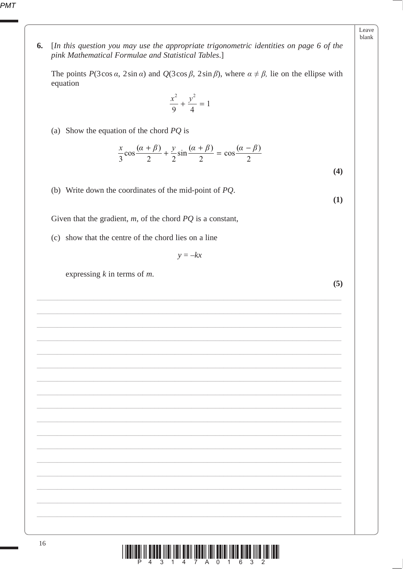6. [In this question you may use the appropriate trigonometric identities on page 6 of the pink Mathematical Formulae and Statistical Tables.]

The points  $P(3\cos\alpha, 2\sin\alpha)$  and  $Q(3\cos\beta, 2\sin\beta)$ , where  $\alpha \neq \beta$ , lie on the ellipse with equation

$$
\frac{x^2}{9} + \frac{y^2}{4} = 1
$$

(a) Show the equation of the chord  $PQ$  is

$$
\frac{x}{3}\cos\frac{(\alpha+\beta)}{2} + \frac{y}{2}\sin\frac{(\alpha+\beta)}{2} = \cos\frac{(\alpha-\beta)}{2}
$$

 $(4)$ 

 $(1)$ 

(b) Write down the coordinates of the mid-point of  $PQ$ .

Given that the gradient,  $m$ , of the chord  $PQ$  is a constant,

(c) show that the centre of the chord lies on a line

 $y = -kx$ 

expressing  $k$  in terms of  $m$ .

 $(5)$ 

| ۵g    |
|-------|
| alank |

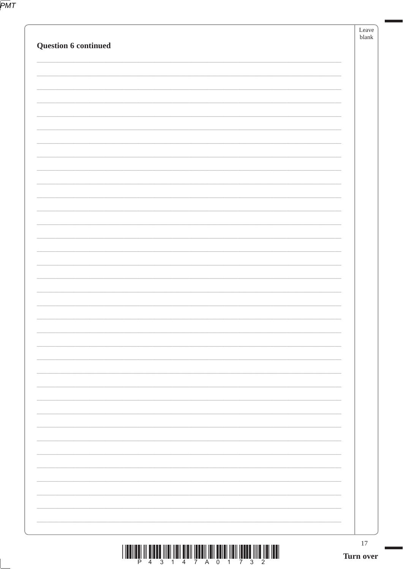|--|

| <b>Question 6 continued</b> | Leave<br>${\sf blank}$ |
|-----------------------------|------------------------|
|                             |                        |
|                             |                        |
|                             |                        |
|                             |                        |
|                             |                        |
|                             |                        |
|                             |                        |
|                             |                        |
|                             |                        |
|                             |                        |
|                             |                        |
|                             |                        |
|                             |                        |
|                             |                        |
|                             |                        |
|                             |                        |
|                             |                        |
|                             | 17<br>Turn over        |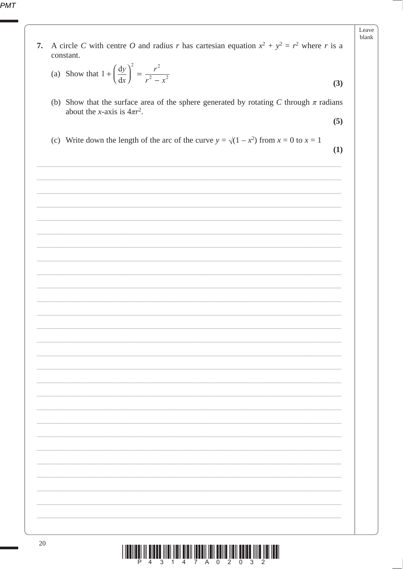|    |                                                                                                                                | Leave |
|----|--------------------------------------------------------------------------------------------------------------------------------|-------|
| 7. | A circle C with centre O and radius r has cartesian equation $x^2 + y^2 = r^2$ where r is a<br>constant.                       |       |
|    | (a) Show that $1 + \left(\frac{dy}{dx}\right)^2 = \frac{r^2}{r^2 - x^2}$                                                       | (3)   |
|    | (b) Show that the surface area of the sphere generated by rotating C through $\pi$ radians<br>about the x-axis is $4\pi r^2$ . |       |
|    |                                                                                                                                | (5)   |
|    | (c) Write down the length of the arc of the curve $y = \sqrt{(1 - x^2)}$ from $x = 0$ to $x = 1$                               | (1)   |
|    |                                                                                                                                |       |
|    |                                                                                                                                |       |
|    |                                                                                                                                |       |
|    |                                                                                                                                |       |
|    |                                                                                                                                |       |
|    |                                                                                                                                |       |
|    |                                                                                                                                |       |
|    |                                                                                                                                |       |
|    |                                                                                                                                |       |
|    |                                                                                                                                |       |
|    |                                                                                                                                |       |
|    |                                                                                                                                |       |
|    |                                                                                                                                |       |
|    |                                                                                                                                |       |
|    |                                                                                                                                |       |
|    |                                                                                                                                |       |
|    |                                                                                                                                |       |

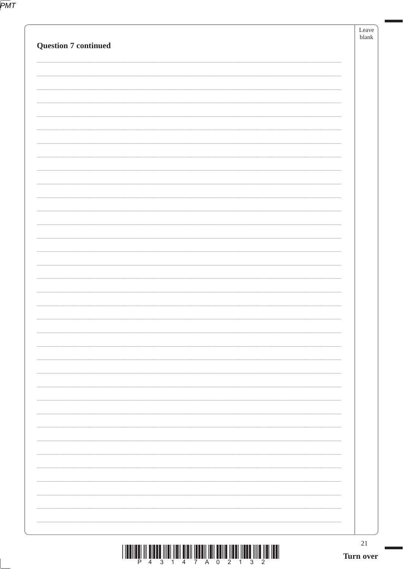|--|

| <b>Question 7 continued</b>                                                  |  | Leave<br>blank  |
|------------------------------------------------------------------------------|--|-----------------|
|                                                                              |  |                 |
|                                                                              |  |                 |
|                                                                              |  |                 |
|                                                                              |  |                 |
|                                                                              |  |                 |
|                                                                              |  |                 |
|                                                                              |  |                 |
|                                                                              |  |                 |
|                                                                              |  |                 |
|                                                                              |  |                 |
|                                                                              |  |                 |
|                                                                              |  |                 |
|                                                                              |  |                 |
|                                                                              |  |                 |
|                                                                              |  |                 |
| $\left( \begin{array}{c} 0 & 0 \\ 0 & 0 \\ 0 & 0 \end{array} \right)$<br>7 A |  | 21<br>Turn over |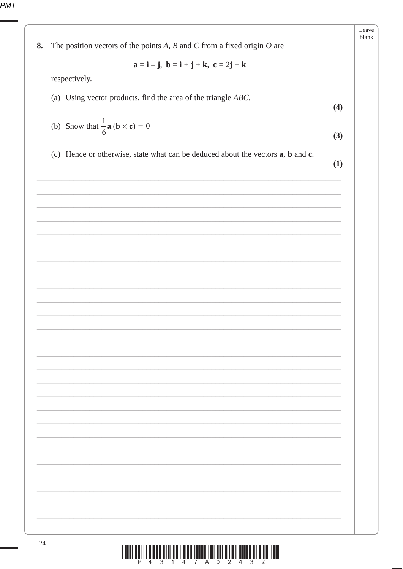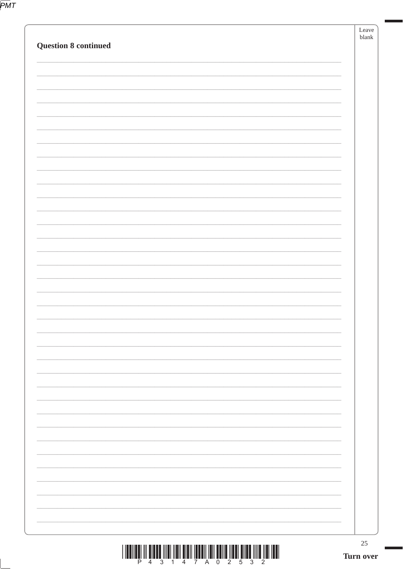|--|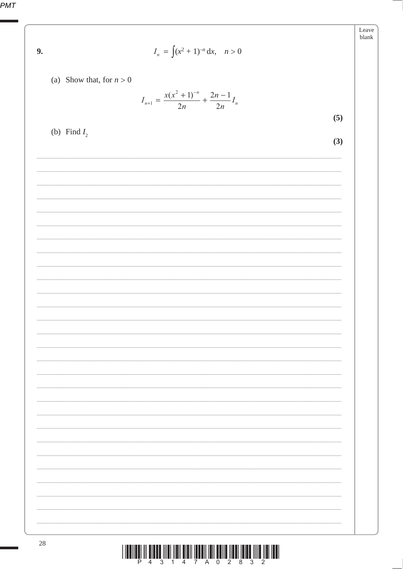| 9.             | $I_n = \int (x^2 + 1)^{-n} dx$ , $n > 0$                                                    | Leave<br>blank |
|----------------|---------------------------------------------------------------------------------------------|----------------|
|                | (a) Show that, for $n > 0$<br>$I_{n+1} = \frac{x(x^2 + 1)^{-n}}{2n} + \frac{2n - 1}{2n}I_n$ |                |
|                |                                                                                             | (5)            |
| (b) Find $I_2$ |                                                                                             | (3)            |
|                |                                                                                             |                |
|                |                                                                                             |                |
|                |                                                                                             |                |
|                |                                                                                             |                |
|                |                                                                                             |                |
|                |                                                                                             |                |
|                |                                                                                             |                |
|                |                                                                                             |                |
|                |                                                                                             |                |
|                |                                                                                             |                |
|                |                                                                                             |                |
|                |                                                                                             |                |
|                |                                                                                             |                |
|                |                                                                                             |                |
|                |                                                                                             |                |
|                |                                                                                             |                |
| 28             |                                                                                             |                |